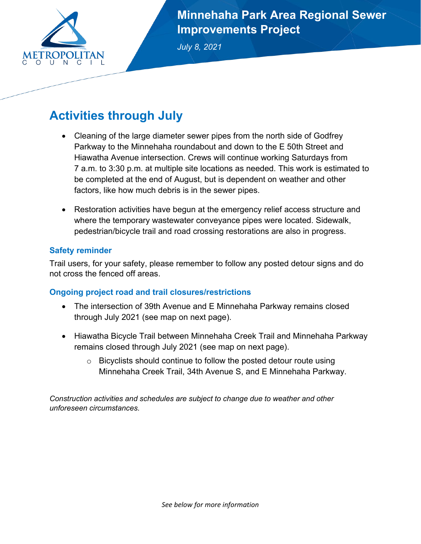

**Minnehaha Park Area Regional Sewer Improvements Project**

*July 8, 2021* 

# **Activities through July**

- Cleaning of the large diameter sewer pipes from the north side of Godfrey Parkway to the Minnehaha roundabout and down to the E 50th Street and Hiawatha Avenue intersection. Crews will continue working Saturdays from 7 a.m. to 3:30 p.m. at multiple site locations as needed. This work is estimated to be completed at the end of August, but is dependent on weather and other factors, like how much debris is in the sewer pipes.
- Restoration activities have begun at the emergency relief access structure and where the temporary wastewater conveyance pipes were located. Sidewalk, pedestrian/bicycle trail and road crossing restorations are also in progress.

### **Safety reminder**

Trail users, for your safety, please remember to follow any posted detour signs and do not cross the fenced off areas.

### **Ongoing project road and trail closures/restrictions**

- The intersection of 39th Avenue and E Minnehaha Parkway remains closed through July 2021 (see map on next page).
- Hiawatha Bicycle Trail between Minnehaha Creek Trail and Minnehaha Parkway remains closed through July 2021 (see map on next page).
	- $\circ$  Bicyclists should continue to follow the posted detour route using Minnehaha Creek Trail, 34th Avenue S, and E Minnehaha Parkway.

*Construction activities and schedules are subject to change due to weather and other unforeseen circumstances.*